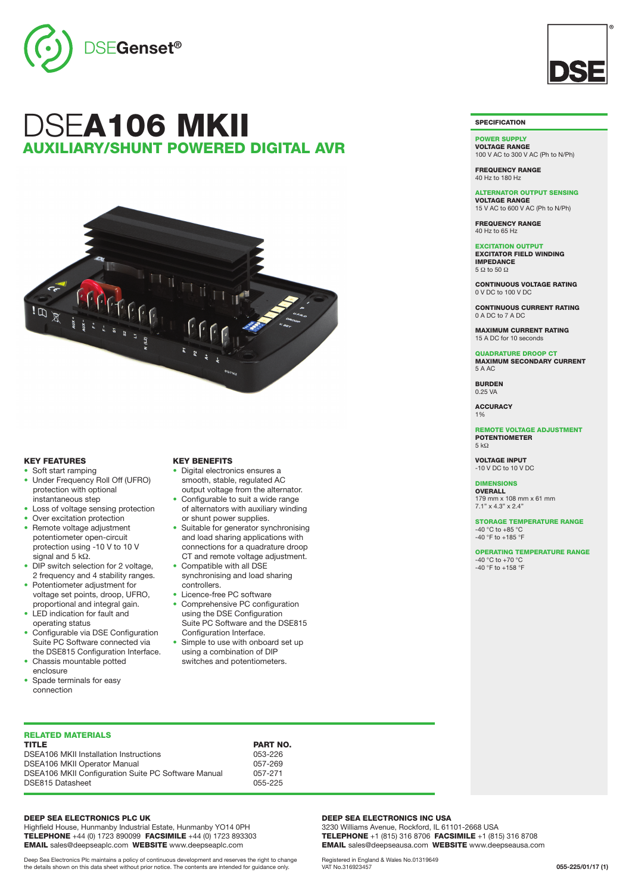

# DSEA106 MKII LIARY/SHUNT POWERED DIGITAL AVR



## KEY FEATURES

- Soft start ramping • Under Frequency Roll Off (UFRO) protection with optional
- instantaneous step • Loss of voltage sensing protection
- Over excitation protection
- Remote voltage adjustment potentiometer open-circuit protection using -10 V to 10 V signal and 5 kΩ.
- DIP switch selection for 2 voltage, 2 frequency and 4 stability ranges.
- Potentiometer adjustment for voltage set points, droop, UFRO, proportional and integral gain.
- LED indication for fault and operating status
- Configurable via DSE Configuration Suite PC Software connected via the DSE815 Configuration Interface.
- Chassis mountable potted enclosure
- Spade terminals for easy connection

# RELATED MATERIALS

| <b>TITLE</b>                                        | <b>PART NO.</b> |
|-----------------------------------------------------|-----------------|
| <b>DSEA106 MKII Installation Instructions</b>       | 053-226         |
| <b>DSEA106 MKII Operator Manual</b>                 | 057-269         |
| DSEA106 MKII Configuration Suite PC Software Manual | 057-271         |
| DSE815 Datasheet                                    | 055-225         |

#### DEEP SEA ELECTRONICS PLC UK

Highfield House, Hunmanby Industrial Estate, Hunmanby YO14 0PH TELEPHONE +44 (0) 1723 890099 FACSIMILE +44 (0) 1723 893303 EMAIL sales@deepseaplc.com WEBSITE www.deepseaplc.com

Deep Sea Electronics Plc maintains a policy of continuous development and reserves the right to change the details shown on this data sheet without prior notice. The contents are intended for guidance only.

#### KEY BENEFITS

- Digital electronics ensures a smooth, stable, regulated AC output voltage from the alternator.
- Configurable to suit a wide range of alternators with auxiliary winding or shunt power supplies.
- Suitable for generator synchronising and load sharing applications with connections for a quadrature droop CT and remote voltage adjustment.
- Compatible with all DSE synchronising and load sharing controllers.
- Licence-free PC software • Comprehensive PC configuration using the DSE Configuration Suite PC Software and the DSE815 Configuration Interface.
- Simple to use with onboard set up using a combination of DIP switches and potentiometers.

#### DEEP SEA ELECTRONICS INC USA

3230 Williams Avenue, Rockford, IL 61101-2668 USA TELEPHONE +1 (815) 316 8706 FACSIMILE +1 (815) 316 8708 EMAIL sales@deepseausa.com WEBSITE www.deepseausa.com

Registered in England & Wales No.01319649 VAT No.316923457



### **SPECIFICATION**

POWER SUPPLY VOLTAGE RANGE 100 V AC to 300 V AC (Ph to N/Ph)

FREQUENCY RANGE 40 Hz to 180 Hz

40 Hz to 65 Hz

5 Ω to 50 Ω

ALTERNATOR OUTPUT SENSING VOLTAGE RANGE

15 V AC to 600 V AC (Ph to N/Ph) FREQUENCY RANGE

EXCITATION OUTPUT EXCITATOR FIELD WINDING **IMPEDANCE** 

CONTINUOUS VOLTAGE RATING 0 V DC to 100 V DC

CONTINUOUS CURRENT RATING 0 A DC to 7 A DC

MAXIMUM CURRENT RATING 15 A DC for 10 seconds

QUADRATURE DROOP CT MAXIMUM SECONDARY CURRENT 5 A AC

BURDEN 0.25 VA

**ACCURACY** 1%

REMOTE VOLTAGE ADJUSTMENT POTENTIOMETER 5 kΩ

VOLTAGE INPUT -10 V DC to 10 V DC

DIMENSIONS OVERALL 179 mm x 108 mm x 61 mm 7.1" x 4.3" x 2.4"

STORAGE TEMPERATURE RANGE -40 °C to +85 °C -40 °F to +185 °F

OPERATING TEMPERATURE RANGE -40 °C to +70 °C  $-40$  °F to  $+158$  °F